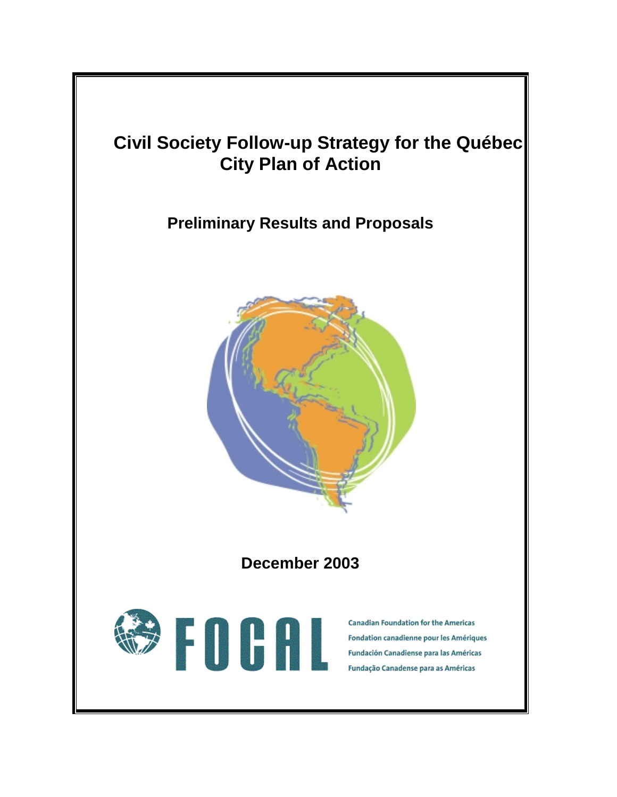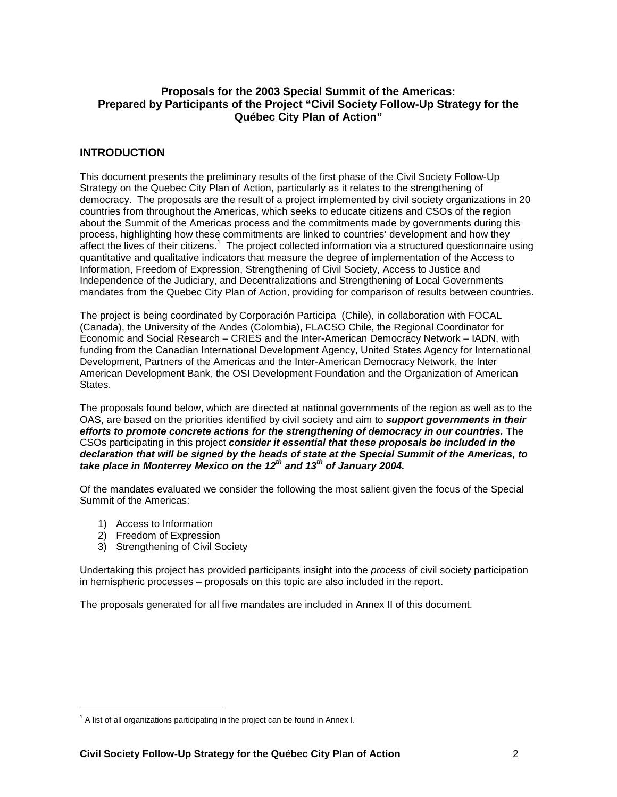# **Proposals for the 2003 Special Summit of the Americas: Prepared by Participants of the Project "Civil Society Follow-Up Strategy for the Québec City Plan of Action"**

# **INTRODUCTION**

This document presents the preliminary results of the first phase of the Civil Society Follow-Up Strategy on the Quebec City Plan of Action, particularly as it relates to the strengthening of democracy. The proposals are the result of a project implemented by civil society organizations in 20 countries from throughout the Americas, which seeks to educate citizens and CSOs of the region about the Summit of the Americas process and the commitments made by governments during this process, highlighting how these commitments are linked to countries' development and how they affect the lives of their citizens.<sup>1</sup> The project collected information via a structured questionnaire using quantitative and qualitative indicators that measure the degree of implementation of the Access to Information, Freedom of Expression, Strengthening of Civil Society, Access to Justice and Independence of the Judiciary, and Decentralizations and Strengthening of Local Governments mandates from the Quebec City Plan of Action, providing for comparison of results between countries.

The project is being coordinated by Corporación Participa (Chile), in collaboration with FOCAL (Canada), the University of the Andes (Colombia), FLACSO Chile, the Regional Coordinator for Economic and Social Research – CRIES and the Inter-American Democracy Network – IADN, with funding from the Canadian International Development Agency, United States Agency for International Development, Partners of the Americas and the Inter-American Democracy Network, the Inter American Development Bank, the OSI Development Foundation and the Organization of American States.

The proposals found below, which are directed at national governments of the region as well as to the OAS, are based on the priorities identified by civil society and aim to *support governments in their efforts to promote concrete actions for the strengthening of democracy in our countries.* The CSOs participating in this project *consider it essential that these proposals be included in the declaration that will be signed by the heads of state at the Special Summit of the Americas, to*  take place in Monterrey Mexico on the 12<sup>th</sup> and 13<sup>th</sup> of January 2004.

Of the mandates evaluated we consider the following the most salient given the focus of the Special Summit of the Americas:

- 1) Access to Information
- 2) Freedom of Expression
- 3) Strengthening of Civil Society

Undertaking this project has provided participants insight into the *process* of civil society participation in hemispheric processes – proposals on this topic are also included in the report.

The proposals generated for all five mandates are included in Annex II of this document.

  $1$  A list of all organizations participating in the project can be found in Annex I.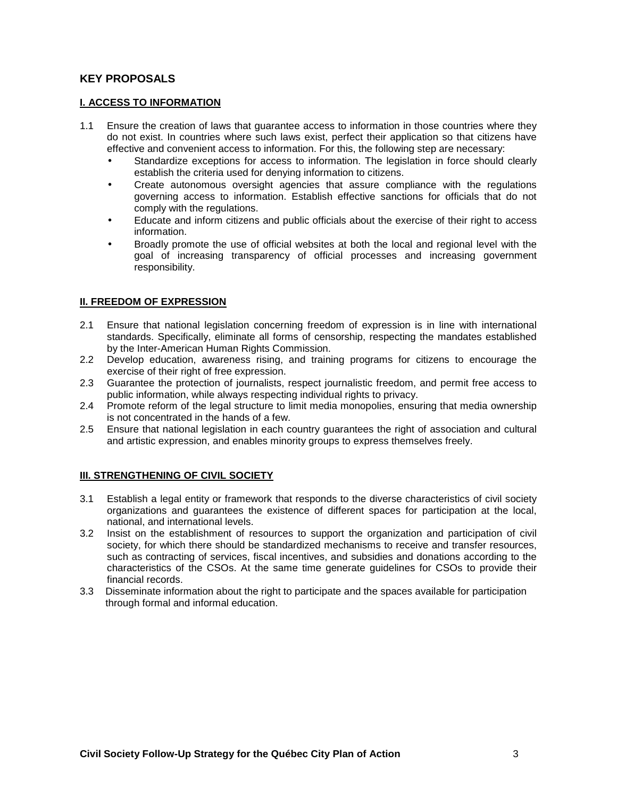# **KEY PROPOSALS**

## **I. ACCESS TO INFORMATION**

- 1.1 Ensure the creation of laws that guarantee access to information in those countries where they do not exist. In countries where such laws exist, perfect their application so that citizens have effective and convenient access to information. For this, the following step are necessary:
	- Standardize exceptions for access to information. The legislation in force should clearly establish the criteria used for denying information to citizens.
	- Create autonomous oversight agencies that assure compliance with the regulations governing access to information. Establish effective sanctions for officials that do not comply with the regulations.
	- Educate and inform citizens and public officials about the exercise of their right to access information.
	- Broadly promote the use of official websites at both the local and regional level with the goal of increasing transparency of official processes and increasing government responsibility.

# **II. FREEDOM OF EXPRESSION**

- 2.1 Ensure that national legislation concerning freedom of expression is in line with international standards. Specifically, eliminate all forms of censorship, respecting the mandates established by the Inter-American Human Rights Commission.
- 2.2 Develop education, awareness rising, and training programs for citizens to encourage the exercise of their right of free expression.
- 2.3 Guarantee the protection of journalists, respect journalistic freedom, and permit free access to public information, while always respecting individual rights to privacy.
- 2.4 Promote reform of the legal structure to limit media monopolies, ensuring that media ownership is not concentrated in the hands of a few.
- 2.5 Ensure that national legislation in each country guarantees the right of association and cultural and artistic expression, and enables minority groups to express themselves freely.

# **III. STRENGTHENING OF CIVIL SOCIETY**

- 3.1 Establish a legal entity or framework that responds to the diverse characteristics of civil society organizations and guarantees the existence of different spaces for participation at the local, national, and international levels.
- 3.2 Insist on the establishment of resources to support the organization and participation of civil society, for which there should be standardized mechanisms to receive and transfer resources, such as contracting of services, fiscal incentives, and subsidies and donations according to the characteristics of the CSOs. At the same time generate guidelines for CSOs to provide their financial records.
- 3.3 Disseminate information about the right to participate and the spaces available for participation through formal and informal education.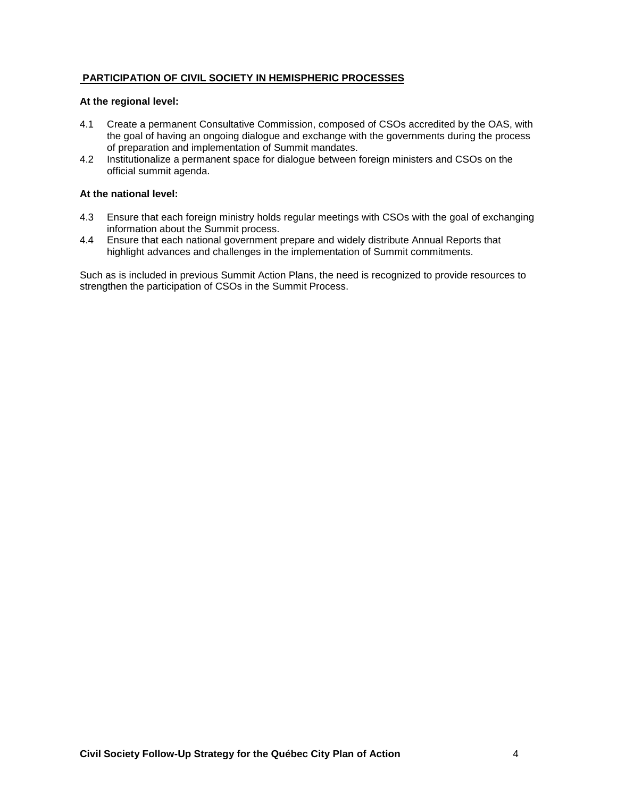# **PARTICIPATION OF CIVIL SOCIETY IN HEMISPHERIC PROCESSES**

### **At the regional level:**

- 4.1 Create a permanent Consultative Commission, composed of CSOs accredited by the OAS, with the goal of having an ongoing dialogue and exchange with the governments during the process of preparation and implementation of Summit mandates.
- 4.2 Institutionalize a permanent space for dialogue between foreign ministers and CSOs on the official summit agenda.

## **At the national level:**

- 4.3 Ensure that each foreign ministry holds regular meetings with CSOs with the goal of exchanging information about the Summit process.
- 4.4 Ensure that each national government prepare and widely distribute Annual Reports that highlight advances and challenges in the implementation of Summit commitments.

Such as is included in previous Summit Action Plans, the need is recognized to provide resources to strengthen the participation of CSOs in the Summit Process.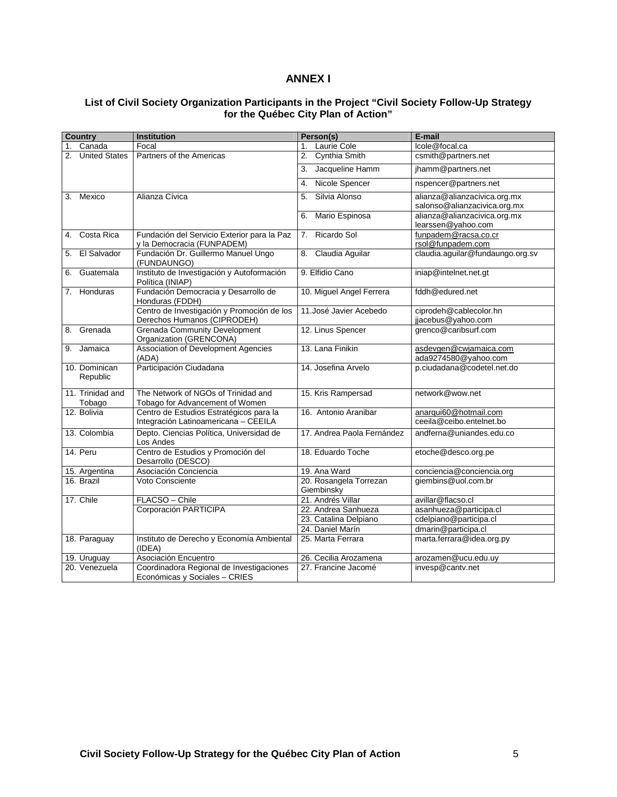# **ANNEX I**

## **List of Civil Society Organization Participants in the Project "Civil Society Follow-Up Strategy for the Québec City Plan of Action"**

|    | <b>Country</b>             | <b>Institution</b>                                                              | Person(s)                            | E-mail                                                       |
|----|----------------------------|---------------------------------------------------------------------------------|--------------------------------------|--------------------------------------------------------------|
|    | Canada                     | Focal                                                                           | Laurie Cole<br>$1_{-}$               | Icole@focal.ca                                               |
| 2. | <b>United States</b>       | Partners of the Americas                                                        | Cynthia Smith<br>2.                  | csmith@partners.net                                          |
|    |                            |                                                                                 | Jacqueline Hamm<br>3.                | jhamm@partners.net                                           |
|    |                            |                                                                                 | 4. Nicole Spencer                    | nspencer@partners.net                                        |
| 3. | Mexico                     | Alianza Cívica                                                                  | Silvia Alonso<br>5.                  | alianza@alianzacivica.org.mx<br>salonso@alianzacivica.org.mx |
|    |                            |                                                                                 | Mario Espinosa<br>6.                 | alianza@alianzacivica.org.mx<br>learssen@yahoo.com           |
| 4. | Costa Rica                 | Fundación del Servicio Exterior para la Paz<br>y la Democracia (FUNPADEM)       | Ricardo Sol<br>7.                    | funpadem@racsa.co.cr<br>rsol@funpadem.com                    |
| 5. | El Salvador                | Fundación Dr. Guillermo Manuel Ungo<br>(FUNDAUNGO)                              | Claudia Aguilar<br>8.                | claudia.aguilar@fundaungo.org.sv                             |
| 6. | Guatemala                  | Instituto de Investigación y Autoformación<br>Política (INIAP)                  | 9. Elfidio Cano                      | iniap@intelnet.net.gt                                        |
|    | 7. Honduras                | Fundación Democracia y Desarrollo de<br>Honduras (FDDH)                         | 10. Miguel Angel Ferrera             | fddh@edured.net                                              |
|    |                            | Centro de Investigación y Promoción de los<br>Derechos Humanos (CIPRODEH)       | 11. José Javier Acebedo              | ciprodeh@cablecolor.hn<br>jjacebus@yahoo.com                 |
|    | 8. Grenada                 | <b>Grenada Community Development</b><br>Organization (GRENCONA)                 | 12. Linus Spencer                    | grenco@caribsurf.com                                         |
| 9. | Jamaica                    | <b>Association of Development Agencies</b><br>(ADA)                             | 13. Lana Finikin                     | asdevgen@cwjamaica.com<br>ada9274580@yahoo.com               |
|    | 10. Dominican<br>Republic  | Participación Ciudadana                                                         | 14. Josefina Arvelo                  | p.ciudadana@codetel.net.do                                   |
|    | 11. Trinidad and<br>Tobago | The Network of NGOs of Trinidad and<br>Tobago for Advancement of Women          | 15. Kris Rampersad                   | network@wow.net                                              |
|    | 12. Bolivia                | Centro de Estudios Estratégicos para la<br>Integración Latinoamericana - CEEILA | 16. Antonio Aranibar                 | anarqui60@hotmail.com<br>ceeila@ceibo.entelnet.bo            |
|    | 13. Colombia               | Depto. Ciencias Política, Universidad de<br>Los Andes                           | 17. Andrea Paola Fernández           | andferna@uniandes.edu.co                                     |
|    | 14. Peru                   | Centro de Estudios y Promoción del<br>Desarrollo (DESCO)                        | 18. Eduardo Toche                    | etoche@desco.org.pe                                          |
|    | 15. Argentina              | Asociación Conciencia                                                           | 19. Ana Ward                         | conciencia@conciencia.org                                    |
|    | 16. Brazil                 | Voto Consciente                                                                 | 20. Rosangela Torrezan<br>Giembinsky | giembins@uol.com.br                                          |
|    | 17. Chile                  | FLACSO - Chile                                                                  | 21. Andrés Villar                    | avillar@flacso.cl                                            |
|    |                            | Corporación PARTICIPA                                                           | 22. Andrea Sanhueza                  | asanhueza@participa.cl                                       |
|    |                            |                                                                                 | 23. Catalina Delpiano                | cdelpiano@participa.cl                                       |
|    |                            |                                                                                 | 24. Daniel Marín                     | dmarin@participa.cl                                          |
|    | 18. Paraguay               | Instituto de Derecho y Economía Ambiental<br>(IDEA)                             | 25. Marta Ferrara                    | marta.ferrara@idea.org.py                                    |
|    | 19. Uruguay                | Asociación Encuentro                                                            | 26. Cecilia Arozamena                | arozamen@ucu.edu.uy                                          |
|    | 20. Venezuela              | Coordinadora Regional de Investigaciones<br>Económicas y Sociales - CRIES       | 27. Francine Jacomé                  | invesp@cantv.net                                             |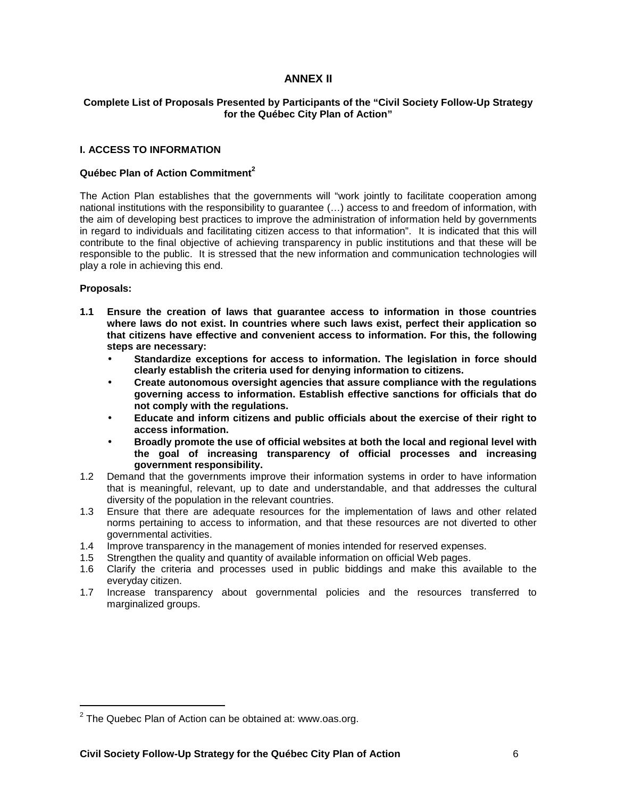# **ANNEX II**

## **Complete List of Proposals Presented by Participants of the "Civil Society Follow-Up Strategy for the Québec City Plan of Action"**

### **I. ACCESS TO INFORMATION**

### **Québec Plan of Action Commitment<sup>2</sup>**

The Action Plan establishes that the governments will "work jointly to facilitate cooperation among national institutions with the responsibility to guarantee (…) access to and freedom of information, with the aim of developing best practices to improve the administration of information held by governments in regard to individuals and facilitating citizen access to that information". It is indicated that this will contribute to the final objective of achieving transparency in public institutions and that these will be responsible to the public. It is stressed that the new information and communication technologies will play a role in achieving this end.

## **Proposals:**

- **1.1 Ensure the creation of laws that guarantee access to information in those countries where laws do not exist. In countries where such laws exist, perfect their application so that citizens have effective and convenient access to information. For this, the following steps are necessary:** 
	- **Standardize exceptions for access to information. The legislation in force should clearly establish the criteria used for denying information to citizens.**
	- **Create autonomous oversight agencies that assure compliance with the regulations governing access to information. Establish effective sanctions for officials that do not comply with the regulations.**
	- **Educate and inform citizens and public officials about the exercise of their right to access information.**
	- **Broadly promote the use of official websites at both the local and regional level with the goal of increasing transparency of official processes and increasing government responsibility.**
- 1.2 Demand that the governments improve their information systems in order to have information that is meaningful, relevant, up to date and understandable, and that addresses the cultural diversity of the population in the relevant countries.
- 1.3 Ensure that there are adequate resources for the implementation of laws and other related norms pertaining to access to information, and that these resources are not diverted to other governmental activities.
- 1.4 Improve transparency in the management of monies intended for reserved expenses.
- 1.5 Strengthen the quality and quantity of available information on official Web pages.
- 1.6 Clarify the criteria and processes used in public biddings and make this available to the everyday citizen.
- 1.7 Increase transparency about governmental policies and the resources transferred to marginalized groups.

 $2$  The Quebec Plan of Action can be obtained at: www.oas.org.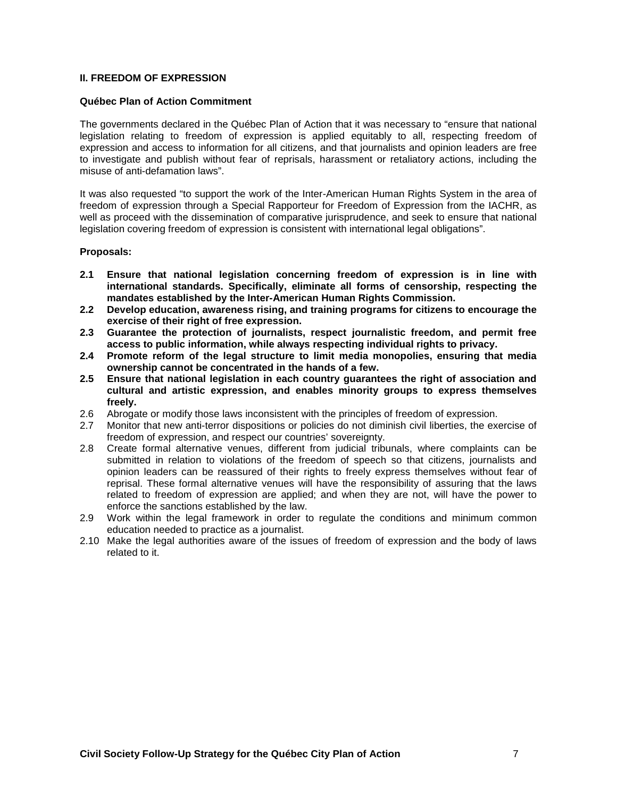### **II. FREEDOM OF EXPRESSION**

### **Québec Plan of Action Commitment**

The governments declared in the Québec Plan of Action that it was necessary to "ensure that national legislation relating to freedom of expression is applied equitably to all, respecting freedom of expression and access to information for all citizens, and that journalists and opinion leaders are free to investigate and publish without fear of reprisals, harassment or retaliatory actions, including the misuse of anti-defamation laws".

It was also requested "to support the work of the Inter-American Human Rights System in the area of freedom of expression through a Special Rapporteur for Freedom of Expression from the IACHR, as well as proceed with the dissemination of comparative jurisprudence, and seek to ensure that national legislation covering freedom of expression is consistent with international legal obligations".

### **Proposals:**

- **2.1 Ensure that national legislation concerning freedom of expression is in line with international standards. Specifically, eliminate all forms of censorship, respecting the mandates established by the Inter-American Human Rights Commission.**
- **2.2 Develop education, awareness rising, and training programs for citizens to encourage the exercise of their right of free expression.**
- **2.3 Guarantee the protection of journalists, respect journalistic freedom, and permit free access to public information, while always respecting individual rights to privacy.**
- **2.4 Promote reform of the legal structure to limit media monopolies, ensuring that media ownership cannot be concentrated in the hands of a few.**
- **2.5 Ensure that national legislation in each country guarantees the right of association and cultural and artistic expression, and enables minority groups to express themselves freely.**
- 2.6 Abrogate or modify those laws inconsistent with the principles of freedom of expression.
- 2.7 Monitor that new anti-terror dispositions or policies do not diminish civil liberties, the exercise of freedom of expression, and respect our countries' sovereignty.
- 2.8 Create formal alternative venues, different from judicial tribunals, where complaints can be submitted in relation to violations of the freedom of speech so that citizens, journalists and opinion leaders can be reassured of their rights to freely express themselves without fear of reprisal. These formal alternative venues will have the responsibility of assuring that the laws related to freedom of expression are applied; and when they are not, will have the power to enforce the sanctions established by the law.
- 2.9 Work within the legal framework in order to regulate the conditions and minimum common education needed to practice as a journalist.
- 2.10 Make the legal authorities aware of the issues of freedom of expression and the body of laws related to it.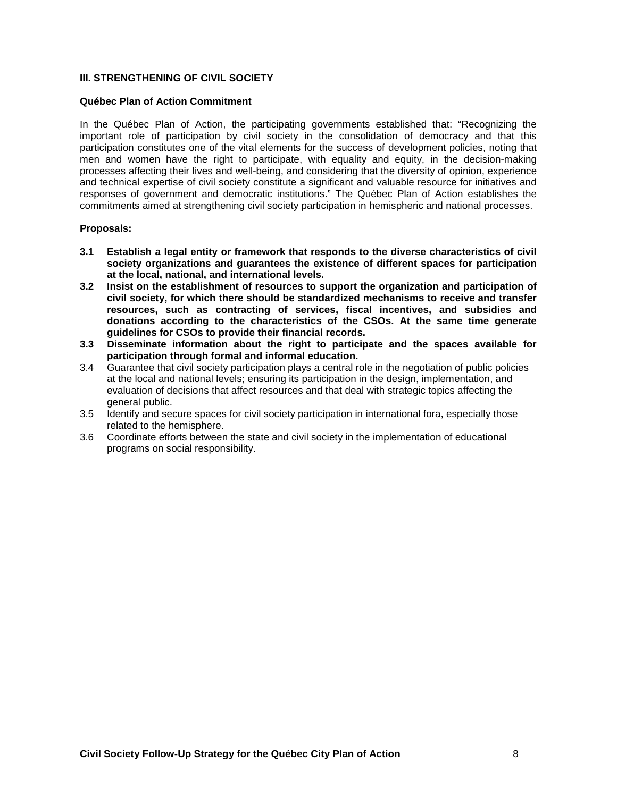## **III. STRENGTHENING OF CIVIL SOCIETY**

### **Québec Plan of Action Commitment**

In the Québec Plan of Action, the participating governments established that: "Recognizing the important role of participation by civil society in the consolidation of democracy and that this participation constitutes one of the vital elements for the success of development policies, noting that men and women have the right to participate, with equality and equity, in the decision-making processes affecting their lives and well-being, and considering that the diversity of opinion, experience and technical expertise of civil society constitute a significant and valuable resource for initiatives and responses of government and democratic institutions." The Québec Plan of Action establishes the commitments aimed at strengthening civil society participation in hemispheric and national processes.

### **Proposals:**

- **3.1 Establish a legal entity or framework that responds to the diverse characteristics of civil society organizations and guarantees the existence of different spaces for participation at the local, national, and international levels.**
- **3.2 Insist on the establishment of resources to support the organization and participation of civil society, for which there should be standardized mechanisms to receive and transfer resources, such as contracting of services, fiscal incentives, and subsidies and donations according to the characteristics of the CSOs. At the same time generate guidelines for CSOs to provide their financial records.**
- **3.3 Disseminate information about the right to participate and the spaces available for participation through formal and informal education.**
- 3.4 Guarantee that civil society participation plays a central role in the negotiation of public policies at the local and national levels; ensuring its participation in the design, implementation, and evaluation of decisions that affect resources and that deal with strategic topics affecting the general public.
- 3.5 Identify and secure spaces for civil society participation in international fora, especially those related to the hemisphere.
- 3.6 Coordinate efforts between the state and civil society in the implementation of educational programs on social responsibility.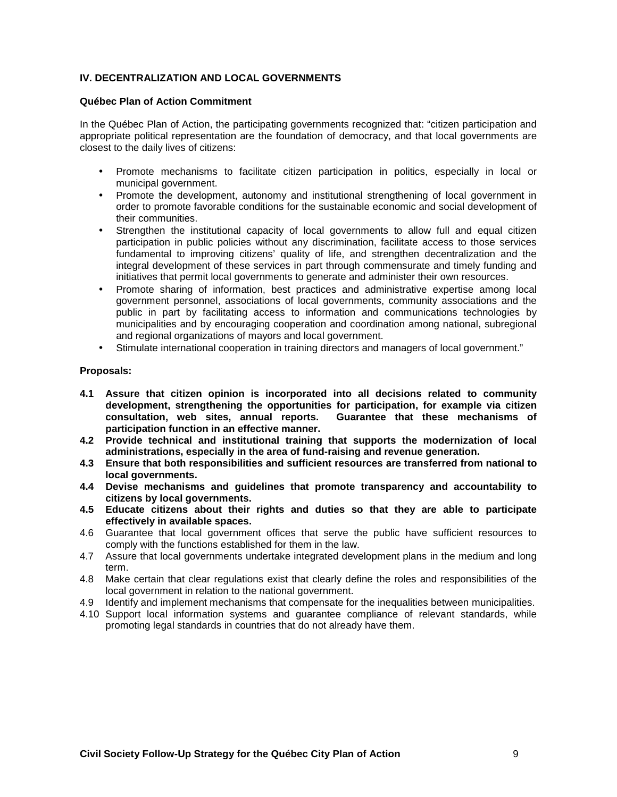# **IV. DECENTRALIZATION AND LOCAL GOVERNMENTS**

### **Québec Plan of Action Commitment**

In the Québec Plan of Action, the participating governments recognized that: "citizen participation and appropriate political representation are the foundation of democracy, and that local governments are closest to the daily lives of citizens:

- Promote mechanisms to facilitate citizen participation in politics, especially in local or municipal government.
- Promote the development, autonomy and institutional strengthening of local government in order to promote favorable conditions for the sustainable economic and social development of their communities.
- Strengthen the institutional capacity of local governments to allow full and equal citizen participation in public policies without any discrimination, facilitate access to those services fundamental to improving citizens' quality of life, and strengthen decentralization and the integral development of these services in part through commensurate and timely funding and initiatives that permit local governments to generate and administer their own resources.
- Promote sharing of information, best practices and administrative expertise among local government personnel, associations of local governments, community associations and the public in part by facilitating access to information and communications technologies by municipalities and by encouraging cooperation and coordination among national, subregional and regional organizations of mayors and local government.
- Stimulate international cooperation in training directors and managers of local government."

## **Proposals:**

- **4.1 Assure that citizen opinion is incorporated into all decisions related to community development, strengthening the opportunities for participation, for example via citizen consultation, web sites, annual reports. Guarantee that these mechanisms of participation function in an effective manner.**
- **4.2 Provide technical and institutional training that supports the modernization of local administrations, especially in the area of fund-raising and revenue generation.**
- **4.3 Ensure that both responsibilities and sufficient resources are transferred from national to local governments.**
- **4.4 Devise mechanisms and guidelines that promote transparency and accountability to citizens by local governments.**
- **4.5 Educate citizens about their rights and duties so that they are able to participate effectively in available spaces.**
- 4.6 Guarantee that local government offices that serve the public have sufficient resources to comply with the functions established for them in the law.
- 4.7 Assure that local governments undertake integrated development plans in the medium and long term.
- 4.8 Make certain that clear regulations exist that clearly define the roles and responsibilities of the local government in relation to the national government.
- 4.9 Identify and implement mechanisms that compensate for the inequalities between municipalities.
- 4.10 Support local information systems and guarantee compliance of relevant standards, while promoting legal standards in countries that do not already have them.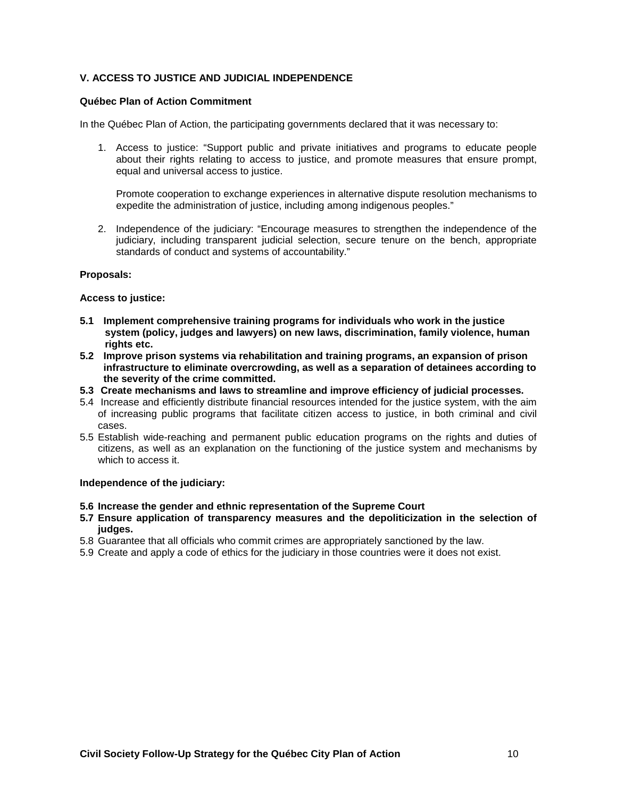# **V. ACCESS TO JUSTICE AND JUDICIAL INDEPENDENCE**

### **Québec Plan of Action Commitment**

In the Québec Plan of Action, the participating governments declared that it was necessary to:

1. Access to justice: "Support public and private initiatives and programs to educate people about their rights relating to access to justice, and promote measures that ensure prompt, equal and universal access to justice.

Promote cooperation to exchange experiences in alternative dispute resolution mechanisms to expedite the administration of justice, including among indigenous peoples."

2. Independence of the judiciary: "Encourage measures to strengthen the independence of the judiciary, including transparent judicial selection, secure tenure on the bench, appropriate standards of conduct and systems of accountability."

### **Proposals:**

### **Access to justice:**

- **5.1 Implement comprehensive training programs for individuals who work in the justice system (policy, judges and lawyers) on new laws, discrimination, family violence, human rights etc.**
- **5.2 Improve prison systems via rehabilitation and training programs, an expansion of prison infrastructure to eliminate overcrowding, as well as a separation of detainees according to the severity of the crime committed.**
- **5.3 Create mechanisms and laws to streamline and improve efficiency of judicial processes.**
- 5.4 Increase and efficiently distribute financial resources intended for the justice system, with the aim of increasing public programs that facilitate citizen access to justice, in both criminal and civil cases.
- 5.5 Establish wide-reaching and permanent public education programs on the rights and duties of citizens, as well as an explanation on the functioning of the justice system and mechanisms by which to access it.

#### **Independence of the judiciary:**

#### **5.6 Increase the gender and ethnic representation of the Supreme Court**

- **5.7 Ensure application of transparency measures and the depoliticization in the selection of judges.**
- 5.8 Guarantee that all officials who commit crimes are appropriately sanctioned by the law.
- 5.9 Create and apply a code of ethics for the judiciary in those countries were it does not exist.